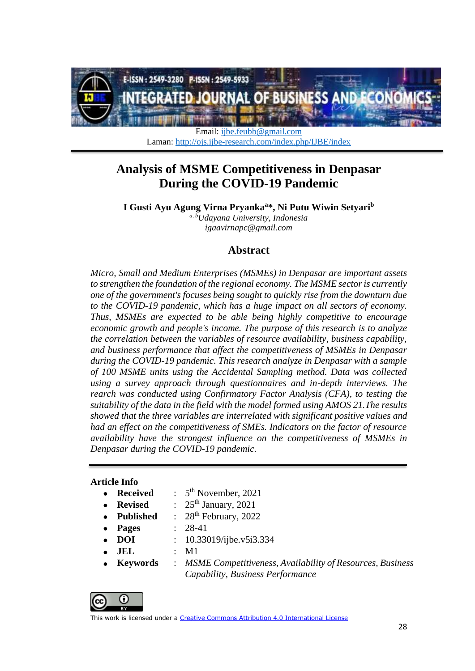

Email: [ijbe.feubb@gmail.com](mailto:ijbe.feubb@gmail.com) Laman:<http://ojs.ijbe-research.com/index.php/IJBE/index>

# **Analysis of MSME Competitiveness in Denpasar During the COVID-19 Pandemic**

**I Gusti Ayu Agung Virna Pryanka<sup>a</sup> \*, Ni Putu Wiwin Setyari<sup>b</sup>**

*a, bUdayana University, Indonesia igaavirnapc@gmail.com*

## **Abstract**

*Micro, Small and Medium Enterprises (MSMEs) in Denpasar are important assets to strengthen the foundation of the regional economy. The MSME sector is currently one of the government's focuses being sought to quickly rise from the downturn due to the COVID-19 pandemic, which has a huge impact on all sectors of economy. Thus, MSMEs are expected to be able being highly competitive to encourage economic growth and people's income. The purpose of this research is to analyze the correlation between the variables of resource availability, business capability, and business performance that affect the competitiveness of MSMEs in Denpasar during the COVID-19 pandemic. This research analyze in Denpasar with a sample of 100 MSME units using the Accidental Sampling method. Data was collected using a survey approach through questionnaires and in-depth interviews. The rearch was conducted using Confirmatory Factor Analysis (CFA), to testing the suitability of the data in the field with the model formed using AMOS 21.The results showed that the three variables are interrelated with significant positive values and had an effect on the competitiveness of SMEs. Indicators on the factor of resource availability have the strongest influence on the competitiveness of MSMEs in Denpasar during the COVID-19 pandemic.*

#### **Article Info**

- $Received$ 5<sup>th</sup> November, 2021
	- **Revised** :  $25<sup>th</sup> January, 2021$
	- **Published** : 28<sup>th</sup> February, 2022
- **Pages** : 28-41
- - **DOI** : 10.33019/ijbe.v5i3.334
	- **JEL** : M1
- **Keywords** : *MSME Competitiveness, Availability of Resources, Business Capability, Business Performance*

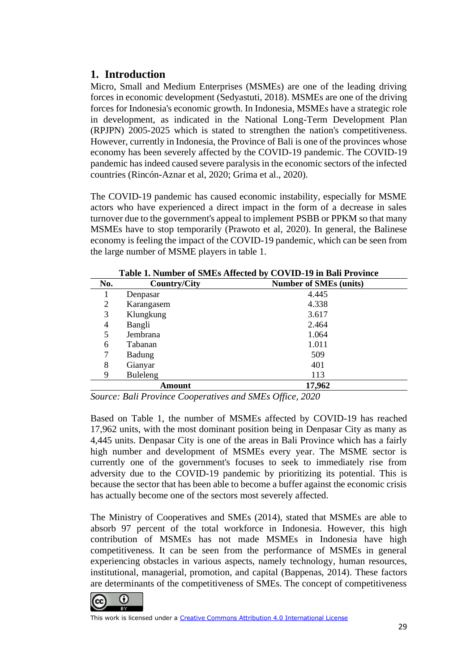## **1. Introduction**

Micro, Small and Medium Enterprises (MSMEs) are one of the leading driving forces in economic development (Sedyastuti, 2018). MSMEs are one of the driving forces for Indonesia's economic growth. In Indonesia, MSMEs have a strategic role in development, as indicated in the National Long-Term Development Plan (RPJPN) 2005-2025 which is stated to strengthen the nation's competitiveness. However, currently in Indonesia, the Province of Bali is one of the provinces whose economy has been severely affected by the COVID-19 pandemic. The COVID-19 pandemic has indeed caused severe paralysis in the economic sectors of the infected countries (Rincón-Aznar et al, 2020; Grima et al., 2020).

The COVID-19 pandemic has caused economic instability, especially for MSME actors who have experienced a direct impact in the form of a decrease in sales turnover due to the government's appeal to implement PSBB or PPKM so that many MSMEs have to stop temporarily (Prawoto et al, 2020). In general, the Balinese economy is feeling the impact of the COVID-19 pandemic, which can be seen from the large number of MSME players in table 1.

| <b>Lable 1. Number of Siviles Affected by CO VID-17 in Dan I Fovince</b> |                     |                               |  |
|--------------------------------------------------------------------------|---------------------|-------------------------------|--|
| No.                                                                      | <b>Country/City</b> | <b>Number of SMEs (units)</b> |  |
|                                                                          | Denpasar            | 4.445                         |  |
| 2                                                                        | Karangasem          | 4.338                         |  |
| 3                                                                        | Klungkung           | 3.617                         |  |
| 4                                                                        | Bangli              | 2.464                         |  |
| 5                                                                        | Jembrana            | 1.064                         |  |
| 6                                                                        | Tabanan             | 1.011                         |  |
|                                                                          | <b>Badung</b>       | 509                           |  |
| 8                                                                        | Gianyar             | 401                           |  |
| 9                                                                        | Buleleng            | 113                           |  |
|                                                                          | Amount              | 17,962                        |  |

**Table 1. Number of SMEs Affected by COVID-19 in Bali Province**

*Source: Bali Province Cooperatives and SMEs Office, 2020*

Based on Table 1, the number of MSMEs affected by COVID-19 has reached 17,962 units, with the most dominant position being in Denpasar City as many as 4,445 units. Denpasar City is one of the areas in Bali Province which has a fairly high number and development of MSMEs every year. The MSME sector is currently one of the government's focuses to seek to immediately rise from adversity due to the COVID-19 pandemic by prioritizing its potential. This is because the sector that has been able to become a buffer against the economic crisis has actually become one of the sectors most severely affected.

The Ministry of Cooperatives and SMEs (2014), stated that MSMEs are able to absorb 97 percent of the total workforce in Indonesia. However, this high contribution of MSMEs has not made MSMEs in Indonesia have high competitiveness. It can be seen from the performance of MSMEs in general experiencing obstacles in various aspects, namely technology, human resources, institutional, managerial, promotion, and capital (Bappenas, 2014). These factors are determinants of the competitiveness of SMEs. The concept of competitiveness

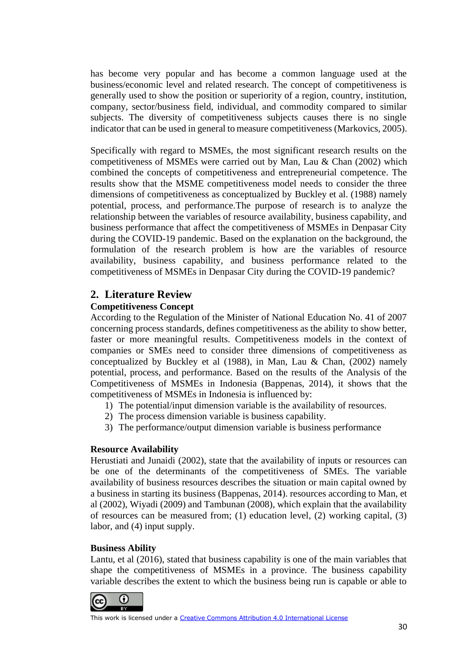has become very popular and has become a common language used at the business/economic level and related research. The concept of competitiveness is generally used to show the position or superiority of a region, country, institution, company, sector/business field, individual, and commodity compared to similar subjects. The diversity of competitiveness subjects causes there is no single indicator that can be used in general to measure competitiveness (Markovics, 2005).

Specifically with regard to MSMEs, the most significant research results on the competitiveness of MSMEs were carried out by Man, Lau & Chan (2002) which combined the concepts of competitiveness and entrepreneurial competence. The results show that the MSME competitiveness model needs to consider the three dimensions of competitiveness as conceptualized by Buckley et al. (1988) namely potential, process, and performance.The purpose of research is to analyze the relationship between the variables of resource availability, business capability, and business performance that affect the competitiveness of MSMEs in Denpasar City during the COVID-19 pandemic. Based on the explanation on the background, the formulation of the research problem is how are the variables of resource availability, business capability, and business performance related to the competitiveness of MSMEs in Denpasar City during the COVID-19 pandemic?

## **2. Literature Review**

## **Competitiveness Concept**

According to the Regulation of the Minister of National Education No. 41 of 2007 concerning process standards, defines competitiveness as the ability to show better, faster or more meaningful results. Competitiveness models in the context of companies or SMEs need to consider three dimensions of competitiveness as conceptualized by Buckley et al (1988), in Man, Lau & Chan, (2002) namely potential, process, and performance. Based on the results of the Analysis of the Competitiveness of MSMEs in Indonesia (Bappenas, 2014), it shows that the competitiveness of MSMEs in Indonesia is influenced by:

- 1) The potential/input dimension variable is the availability of resources.
- 2) The process dimension variable is business capability.
- 3) The performance/output dimension variable is business performance

## **Resource Availability**

Herustiati and Junaidi (2002), state that the availability of inputs or resources can be one of the determinants of the competitiveness of SMEs. The variable availability of business resources describes the situation or main capital owned by a business in starting its business (Bappenas, 2014). resources according to Man, et al (2002), Wiyadi (2009) and Tambunan (2008), which explain that the availability of resources can be measured from; (1) education level, (2) working capital, (3) labor, and (4) input supply.

## **Business Ability**

Lantu, et al (2016), stated that business capability is one of the main variables that shape the competitiveness of MSMEs in a province. The business capability variable describes the extent to which the business being run is capable or able to

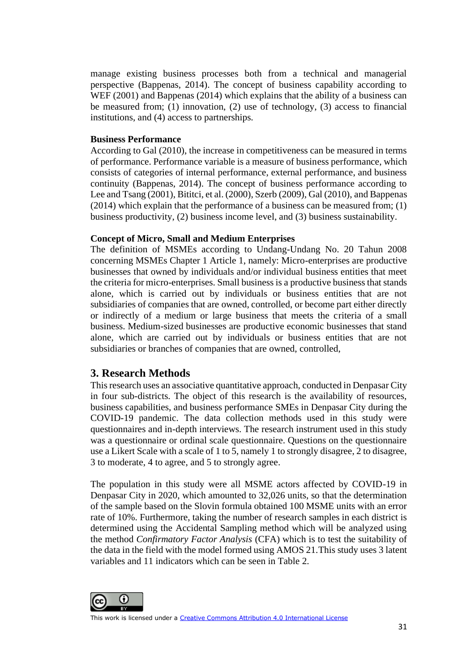manage existing business processes both from a technical and managerial perspective (Bappenas, 2014). The concept of business capability according to WEF (2001) and Bappenas (2014) which explains that the ability of a business can be measured from; (1) innovation, (2) use of technology, (3) access to financial institutions, and (4) access to partnerships.

#### **Business Performance**

According to Gal (2010), the increase in competitiveness can be measured in terms of performance. Performance variable is a measure of business performance, which consists of categories of internal performance, external performance, and business continuity (Bappenas, 2014). The concept of business performance according to Lee and Tsang (2001), Bititci, et al. (2000), Szerb (2009), Gal (2010), and Bappenas (2014) which explain that the performance of a business can be measured from; (1) business productivity, (2) business income level, and (3) business sustainability.

#### **Concept of Micro, Small and Medium Enterprises**

The definition of MSMEs according to Undang-Undang No. 20 Tahun 2008 concerning MSMEs Chapter 1 Article 1, namely: Micro-enterprises are productive businesses that owned by individuals and/or individual business entities that meet the criteria for micro-enterprises. Small business is a productive business that stands alone, which is carried out by individuals or business entities that are not subsidiaries of companies that are owned, controlled, or become part either directly or indirectly of a medium or large business that meets the criteria of a small business. Medium-sized businesses are productive economic businesses that stand alone, which are carried out by individuals or business entities that are not subsidiaries or branches of companies that are owned, controlled,

## **3. Research Methods**

This research uses an associative quantitative approach, conducted in Denpasar City in four sub-districts. The object of this research is the availability of resources, business capabilities, and business performance SMEs in Denpasar City during the COVID-19 pandemic. The data collection methods used in this study were questionnaires and in-depth interviews. The research instrument used in this study was a questionnaire or ordinal scale questionnaire. Questions on the questionnaire use a Likert Scale with a scale of 1 to 5, namely 1 to strongly disagree, 2 to disagree, 3 to moderate, 4 to agree, and 5 to strongly agree.

The population in this study were all MSME actors affected by COVID-19 in Denpasar City in 2020, which amounted to 32,026 units, so that the determination of the sample based on the Slovin formula obtained 100 MSME units with an error rate of 10%. Furthermore, taking the number of research samples in each district is determined using the Accidental Sampling method which will be analyzed using the method *Confirmatory Factor Analysis* (CFA) which is to test the suitability of the data in the field with the model formed using AMOS 21*.*This study uses 3 latent variables and 11 indicators which can be seen in Table 2.

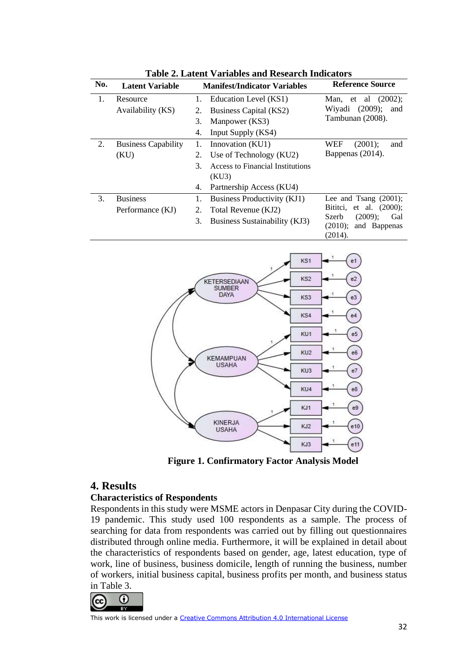| No. | <b>Latent Variable</b>     | <b>Manifest/Indicator Variables</b> |                                  | <b>Reference Source</b>                                             |  |
|-----|----------------------------|-------------------------------------|----------------------------------|---------------------------------------------------------------------|--|
| 1.  | Resource                   | 1.                                  | Education Level (KS1)            | et al $(2002)$ ;<br>Man,                                            |  |
|     | Availability (KS)          | 2.                                  | Business Capital (KS2)           | (2009);<br>Wiyadi<br>and                                            |  |
|     |                            | 3.                                  | Manpower (KS3)                   | Tambunan (2008).                                                    |  |
|     |                            | 4.                                  | Input Supply (KS4)               |                                                                     |  |
| 2.  | <b>Business Capability</b> | 1.                                  | Innovation (KU1)                 | $(2001)$ :<br>WEF<br>and                                            |  |
|     | (KU)                       | 2.                                  | Use of Technology (KU2)          | Bappenas (2014).                                                    |  |
|     |                            | 3.                                  | Access to Financial Institutions |                                                                     |  |
|     |                            |                                     | (KU3)                            |                                                                     |  |
|     |                            | 4.                                  | Partnership Access (KU4)         |                                                                     |  |
| 3.  | <b>Business</b>            | 1.                                  | Business Productivity (KJ1)      | Lee and Tsang $(2001)$ ;                                            |  |
|     | Performance (KJ)           | 2.                                  | Total Revenue (KJ2)              | Bititci, et al. (2000);                                             |  |
|     |                            | 3.                                  | Business Sustainability (KJ3)    | $(2009)$ :<br>Gal<br>Szerb<br>and Bappenas<br>$(2010)$ :<br>(2014). |  |

**Table 2. Latent Variables and Research Indicators**



**Figure 1. Confirmatory Factor Analysis Model**

## **4. Results**

#### **Characteristics of Respondents**

Respondents in this study were MSME actors in Denpasar City during the COVID-19 pandemic. This study used 100 respondents as a sample. The process of searching for data from respondents was carried out by filling out questionnaires distributed through online media. Furthermore, it will be explained in detail about the characteristics of respondents based on gender, age, latest education, type of work, line of business, business domicile, length of running the business, number of workers, initial business capital, business profits per month, and business status in Table 3.

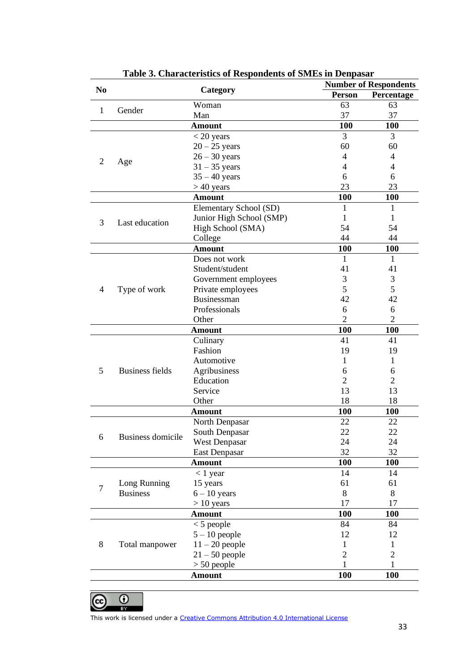| N <sub>0</sub> | Category                 |                          |                | <b>Number of Respondents</b> |  |
|----------------|--------------------------|--------------------------|----------------|------------------------------|--|
|                |                          |                          | <b>Person</b>  | Percentage                   |  |
| $\mathbf{1}$   | Gender                   | Woman                    | 63             | 63                           |  |
|                |                          | Man                      | 37             | 37                           |  |
|                |                          | <b>Amount</b>            | 100            | 100                          |  |
|                |                          | $<$ 20 years             | 3              | 3                            |  |
|                |                          | $20 - 25$ years          | 60             | 60                           |  |
| $\overline{2}$ |                          | $26 - 30$ years          | 4              | 4                            |  |
|                | Age                      | $31 - 35$ years          | 4              | 4                            |  |
|                |                          | $35 - 40$ years          | 6              | 6                            |  |
|                |                          | $>40$ years              | 23             | 23                           |  |
|                |                          | <b>Amount</b>            | 100            | 100                          |  |
|                |                          | Elementary School (SD)   | 1              | 1                            |  |
| 3              | Last education           | Junior High School (SMP) | 1              | 1                            |  |
|                |                          | High School (SMA)        | 54             | 54                           |  |
|                |                          | College                  | 44             | 44                           |  |
|                |                          | <b>Amount</b>            | 100            | <b>100</b>                   |  |
|                |                          | Does not work            | 1              | $\mathbf{1}$                 |  |
|                |                          | Student/student          | 41             | 41                           |  |
|                |                          | Government employees     | 3              | 3                            |  |
| 4              | Type of work             | Private employees        | 5              | 5                            |  |
|                |                          | Businessman              | 42             | 42                           |  |
|                |                          | Professionals            | 6              | 6                            |  |
|                |                          | Other                    | $\overline{2}$ | $\overline{2}$               |  |
|                |                          | <b>Amount</b>            | 100            | <b>100</b>                   |  |
|                |                          | Culinary                 | 41             | 41                           |  |
|                | <b>Business fields</b>   | Fashion                  | 19             | 19                           |  |
|                |                          | Automotive               | 1              | 1                            |  |
| 5              |                          | Agribusiness             | 6              | 6                            |  |
|                |                          | Education                | $\overline{2}$ | $\overline{2}$               |  |
|                |                          | Service                  | 13             | 13                           |  |
|                |                          | Other                    | 18             | 18                           |  |
|                |                          | <b>Amount</b>            | <b>100</b>     | <b>100</b>                   |  |
|                | <b>Business domicile</b> | North Denpasar           | 22             | 22                           |  |
| 6              |                          | South Denpasar           | 22             | 22                           |  |
|                |                          | <b>West Denpasar</b>     | 24             | 24                           |  |
|                |                          | <b>East Denpasar</b>     | 32             | 32                           |  |
|                |                          | <b>Amount</b>            | 100            | <b>100</b>                   |  |
|                |                          | $< 1$ year               | 14             | 14                           |  |
| $\overline{7}$ | Long Running             | 15 years                 | 61             | 61                           |  |
|                | <b>Business</b>          | $6 - 10$ years           | 8              | 8                            |  |
|                |                          | $> 10$ years             | 17             | 17                           |  |
|                |                          | <b>Amount</b>            | 100            | 100                          |  |
| 8              | Total manpower           | $<$ 5 people             | 84             | 84                           |  |
|                |                          | $5 - 10$ people          | 12             | 12                           |  |
|                |                          | $11 - 20$ people         | 1              | 1                            |  |
|                |                          | $21 - 50$ people         | $\overline{2}$ | $\overline{2}$               |  |
|                |                          | $> 50$ people            | 1              | 1                            |  |
|                |                          | <b>Amount</b>            | 100            | 100                          |  |

**Table 3. Characteristics of Respondents of SMEs in Denpasar**

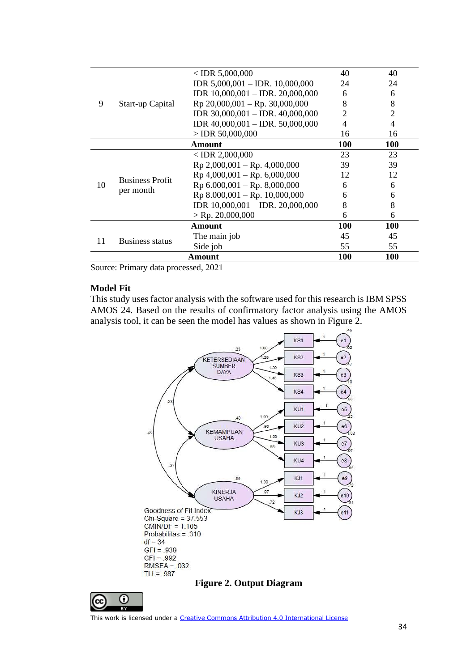|        |                                     | $<$ IDR 5,000,000                    | 40         | 40             |
|--------|-------------------------------------|--------------------------------------|------------|----------------|
|        |                                     | IDR $5,000,001 -$ IDR. 10,000,000    | 24         | 24             |
|        |                                     | IDR $10,000,001 -$ IDR. $20,000,000$ | 6          | 6              |
| 9      | Start-up Capital                    | $Rp 20,000,001 - Rp. 30,000,000$     | 8          | 8              |
|        |                                     | IDR 30,000,001 - IDR. 40,000,000     | 2          | $\overline{2}$ |
|        |                                     | IDR $40,000,001 -$ IDR. 50,000,000   |            | 4              |
|        |                                     | $>$ IDR 50,000,000                   | 16         | 16             |
|        |                                     | Amount                               | <b>100</b> | <b>100</b>     |
|        |                                     | $<$ IDR 2,000,000                    | 23         | 23             |
|        | <b>Business Profit</b><br>per month | $Rp 2,000,001 - Rp. 4,000,000$       | 39         | 39             |
|        |                                     | $Rp$ 4,000,001 – Rp. 6,000,000       | 12         | 12             |
| 10     |                                     | $Rp 6.000,001 - Rp. 8,000,000$       | 6          | 6              |
|        |                                     | $Rp 8.000,001 - Rp. 10,000,000$      | 6          | 6              |
|        |                                     | IDR 10,000,001 - IDR. 20,000,000     | 8          | 8              |
|        |                                     | $>$ Rp. 20,000,000                   | 6          | 6              |
|        |                                     | Amount                               | 100        | <b>100</b>     |
| 11     |                                     | The main job                         | 45         | 45             |
|        | <b>Business status</b>              | Side job                             | 55         | 55             |
| Amount |                                     |                                      | 100        | <b>100</b>     |
|        |                                     |                                      |            |                |

Source: Primary data processed, 2021

#### **Model Fit**

This study uses factor analysis with the software used for this research is IBM SPSS AMOS 24. Based on the results of confirmatory factor analysis using the AMOS analysis tool, it can be seen the model has values as shown in Figure 2.



## **Figure 2. Output Diagram**



This work is licensed under a [Creative Commons Attribution 4.0 International License](http://creativecommons.org/licenses/by/4.0/)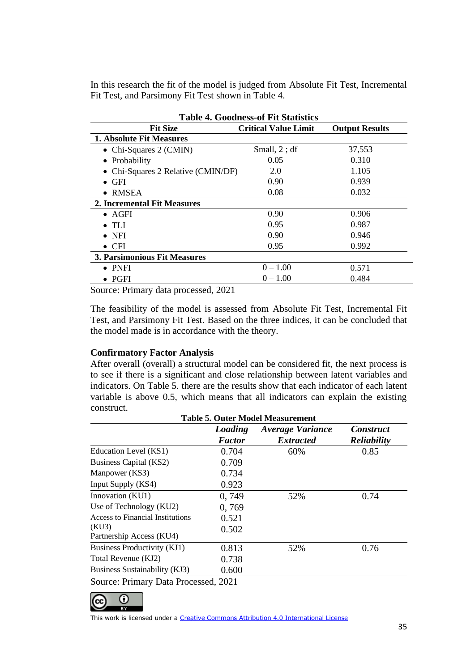In this research the fit of the model is judged from Absolute Fit Test, Incremental Fit Test, and Parsimony Fit Test shown in Table 4.

| <b>Table 4. Goodness-of Fit Statistics</b> |                             |                       |  |  |
|--------------------------------------------|-----------------------------|-----------------------|--|--|
| <b>Fit Size</b>                            | <b>Critical Value Limit</b> | <b>Output Results</b> |  |  |
| <b>1. Absolute Fit Measures</b>            |                             |                       |  |  |
| • Chi-Squares $2$ (CMIN)                   | Small, $2$ ; df             | 37,553                |  |  |
| • Probability                              | 0.05                        | 0.310                 |  |  |
| • Chi-Squares 2 Relative (CMIN/DF)         | 2.0                         | 1.105                 |  |  |
| $\bullet$ GFI                              | 0.90                        | 0.939                 |  |  |
| <b>RMSEA</b><br>$\bullet$                  | 0.08                        | 0.032                 |  |  |
| 2. Incremental Fit Measures                |                             |                       |  |  |
| $\bullet$ AGFI                             | 0.90                        | 0.906                 |  |  |
| TL J                                       | 0.95                        | 0.987                 |  |  |
| $\bullet$ NFI                              | 0.90                        | 0.946                 |  |  |
| $\bullet$ CFI                              | 0.95                        | 0.992                 |  |  |
| 3. Parsimonious Fit Measures               |                             |                       |  |  |
| $\bullet$ PNFI                             | $0 - 1.00$                  | 0.571                 |  |  |
| PGFI                                       | $0 - 1.00$                  | 0.484                 |  |  |

Source: Primary data processed, 2021

The feasibility of the model is assessed from Absolute Fit Test, Incremental Fit Test, and Parsimony Fit Test. Based on the three indices, it can be concluded that the model made is in accordance with the theory.

#### **Confirmatory Factor Analysis**

After overall (overall) a structural model can be considered fit, the next process is to see if there is a significant and close relationship between latent variables and indicators. On Table 5. there are the results show that each indicator of each latent variable is above 0.5, which means that all indicators can explain the existing construct.

| <b>Table 5. Outer Model Measurement</b> |                          |                                             |                                        |  |
|-----------------------------------------|--------------------------|---------------------------------------------|----------------------------------------|--|
|                                         | Loading<br><b>Factor</b> | <b>Average Variance</b><br><b>Extracted</b> | <b>Construct</b><br><b>Reliability</b> |  |
| Education Level (KS1)                   | 0.704                    | 60%                                         | 0.85                                   |  |
| Business Capital (KS2)                  | 0.709                    |                                             |                                        |  |
| Manpower (KS3)                          | 0.734                    |                                             |                                        |  |
| Input Supply (KS4)                      | 0.923                    |                                             |                                        |  |
| Innovation (KU1)                        | 0,749                    | 52%                                         | 0.74                                   |  |
| Use of Technology (KU2)                 | 0,769                    |                                             |                                        |  |
| <b>Access to Financial Institutions</b> | 0.521                    |                                             |                                        |  |
| (KU3)<br>Partnership Access (KU4)       | 0.502                    |                                             |                                        |  |
| Business Productivity (KJ1)             | 0.813                    | 52%                                         | 0.76                                   |  |
| Total Revenue (KJ2)                     | 0.738                    |                                             |                                        |  |
| Business Sustainability (KJ3)           | 0.600                    |                                             |                                        |  |
| Source: Primary Data Processed, 2021    |                          |                                             |                                        |  |

 $\Omega$  $(cc)$ 

This work is licensed under a [Creative Commons Attribution 4.0 International License](http://creativecommons.org/licenses/by/4.0/)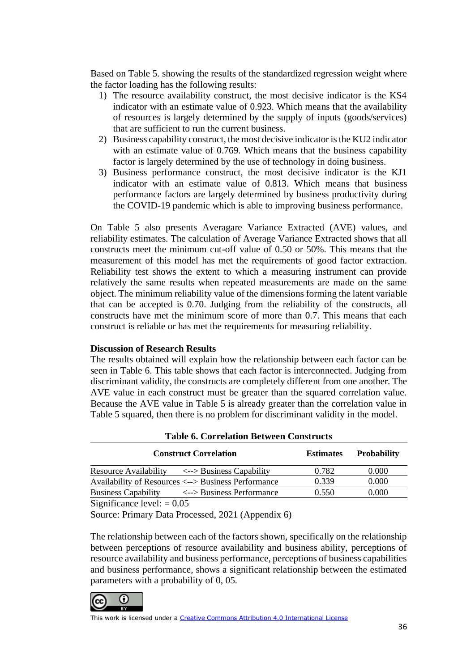Based on Table 5. showing the results of the standardized regression weight where the factor loading has the following results:

- 1) The resource availability construct, the most decisive indicator is the KS4 indicator with an estimate value of 0.923. Which means that the availability of resources is largely determined by the supply of inputs (goods/services) that are sufficient to run the current business.
- 2) Business capability construct, the most decisive indicator is the KU2 indicator with an estimate value of 0.769. Which means that the business capability factor is largely determined by the use of technology in doing business.
- 3) Business performance construct, the most decisive indicator is the KJ1 indicator with an estimate value of 0.813. Which means that business performance factors are largely determined by business productivity during the COVID-19 pandemic which is able to improving business performance.

On Table 5 also presents Averagare Variance Extracted (AVE) values, and reliability estimates. The calculation of Average Variance Extracted shows that all constructs meet the minimum cut-off value of 0.50 or 50%. This means that the measurement of this model has met the requirements of good factor extraction. Reliability test shows the extent to which a measuring instrument can provide relatively the same results when repeated measurements are made on the same object. The minimum reliability value of the dimensions forming the latent variable that can be accepted is 0.70. Judging from the reliability of the constructs, all constructs have met the minimum score of more than 0.7. This means that each construct is reliable or has met the requirements for measuring reliability.

#### **Discussion of Research Results**

The results obtained will explain how the relationship between each factor can be seen in Table 6. This table shows that each factor is interconnected. Judging from discriminant validity, the constructs are completely different from one another. The AVE value in each construct must be greater than the squared correlation value. Because the AVE value in Table 5 is already greater than the correlation value in Table 5 squared, then there is no problem for discriminant validity in the model.

| <b>Construct Correlation</b>                                            | <b>Estimates</b> | <b>Probability</b> |
|-------------------------------------------------------------------------|------------------|--------------------|
| <b>Resource Availability</b><br>$\langle - \rangle$ Business Capability | 0.782            | 0.000              |
| Availability of Resources <--> Business Performance                     | 0.339            | 0.000              |
| <b>Business Capability</b><br><--> Business Performance                 | 0.550            | 0.000              |
| $\cdot$ $\sim$<br>$\sim$<br>$\Omega$ $\Omega$ $\sim$                    |                  |                    |

**Table 6. Correlation Between Constructs**

Significance level:  $= 0.05$ 

Source: Primary Data Processed, 2021 (Appendix 6)

The relationship between each of the factors shown, specifically on the relationship between perceptions of resource availability and business ability, perceptions of resource availability and business performance, perceptions of business capabilities and business performance, shows a significant relationship between the estimated parameters with a probability of 0, 05.

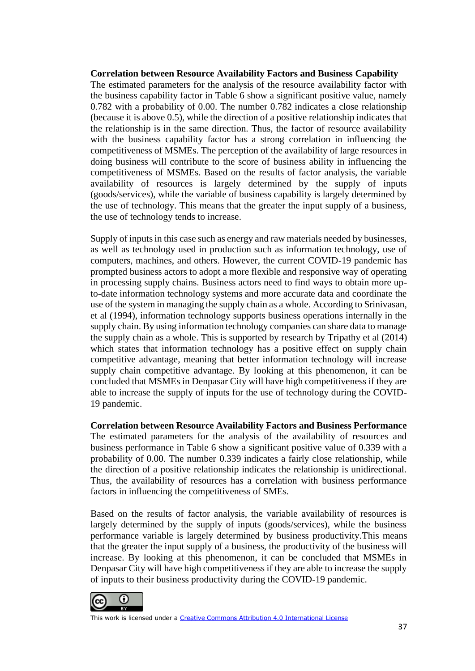#### **Correlation between Resource Availability Factors and Business Capability**

The estimated parameters for the analysis of the resource availability factor with the business capability factor in Table 6 show a significant positive value, namely 0.782 with a probability of 0.00. The number 0.782 indicates a close relationship (because it is above 0.5), while the direction of a positive relationship indicates that the relationship is in the same direction. Thus, the factor of resource availability with the business capability factor has a strong correlation in influencing the competitiveness of MSMEs. The perception of the availability of large resources in doing business will contribute to the score of business ability in influencing the competitiveness of MSMEs. Based on the results of factor analysis, the variable availability of resources is largely determined by the supply of inputs (goods/services), while the variable of business capability is largely determined by the use of technology. This means that the greater the input supply of a business, the use of technology tends to increase.

Supply of inputs in this case such as energy and raw materials needed by businesses, as well as technology used in production such as information technology, use of computers, machines, and others. However, the current COVID-19 pandemic has prompted business actors to adopt a more flexible and responsive way of operating in processing supply chains. Business actors need to find ways to obtain more upto-date information technology systems and more accurate data and coordinate the use of the system in managing the supply chain as a whole. According to Srinivasan, et al (1994), information technology supports business operations internally in the supply chain. By using information technology companies can share data to manage the supply chain as a whole. This is supported by research by Tripathy et al (2014) which states that information technology has a positive effect on supply chain competitive advantage, meaning that better information technology will increase supply chain competitive advantage. By looking at this phenomenon, it can be concluded that MSMEs in Denpasar City will have high competitiveness if they are able to increase the supply of inputs for the use of technology during the COVID-19 pandemic.

**Correlation between Resource Availability Factors and Business Performance** The estimated parameters for the analysis of the availability of resources and business performance in Table 6 show a significant positive value of 0.339 with a probability of 0.00. The number 0.339 indicates a fairly close relationship, while the direction of a positive relationship indicates the relationship is unidirectional. Thus, the availability of resources has a correlation with business performance factors in influencing the competitiveness of SMEs.

Based on the results of factor analysis, the variable availability of resources is largely determined by the supply of inputs (goods/services), while the business performance variable is largely determined by business productivity.This means that the greater the input supply of a business, the productivity of the business will increase. By looking at this phenomenon, it can be concluded that MSMEs in Denpasar City will have high competitiveness if they are able to increase the supply of inputs to their business productivity during the COVID-19 pandemic.

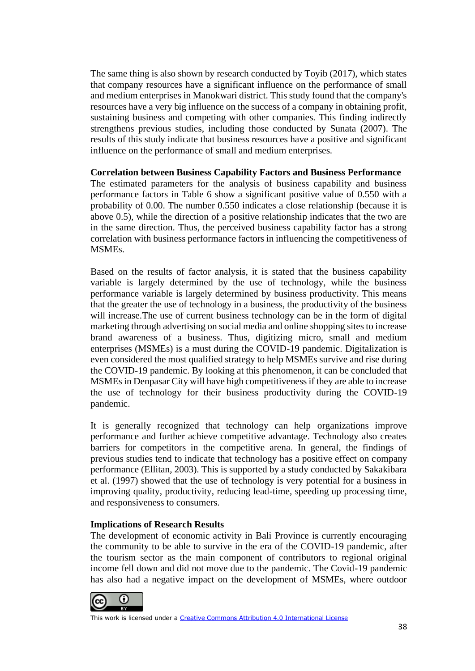The same thing is also shown by research conducted by Toyib (2017), which states that company resources have a significant influence on the performance of small and medium enterprises in Manokwari district. This study found that the company's resources have a very big influence on the success of a company in obtaining profit, sustaining business and competing with other companies. This finding indirectly strengthens previous studies, including those conducted by Sunata (2007). The results of this study indicate that business resources have a positive and significant influence on the performance of small and medium enterprises.

#### **Correlation between Business Capability Factors and Business Performance**

The estimated parameters for the analysis of business capability and business performance factors in Table 6 show a significant positive value of 0.550 with a probability of 0.00. The number 0.550 indicates a close relationship (because it is above 0.5), while the direction of a positive relationship indicates that the two are in the same direction. Thus, the perceived business capability factor has a strong correlation with business performance factors in influencing the competitiveness of MSMEs.

Based on the results of factor analysis, it is stated that the business capability variable is largely determined by the use of technology, while the business performance variable is largely determined by business productivity. This means that the greater the use of technology in a business, the productivity of the business will increase. The use of current business technology can be in the form of digital marketing through advertising on social media and online shopping sites to increase brand awareness of a business. Thus, digitizing micro, small and medium enterprises (MSMEs) is a must during the COVID-19 pandemic. Digitalization is even considered the most qualified strategy to help MSMEs survive and rise during the COVID-19 pandemic. By looking at this phenomenon, it can be concluded that MSMEs in Denpasar City will have high competitiveness if they are able to increase the use of technology for their business productivity during the COVID-19 pandemic.

It is generally recognized that technology can help organizations improve performance and further achieve competitive advantage. Technology also creates barriers for competitors in the competitive arena. In general, the findings of previous studies tend to indicate that technology has a positive effect on company performance (Ellitan, 2003). This is supported by a study conducted by Sakakibara et al. (1997) showed that the use of technology is very potential for a business in improving quality, productivity, reducing lead-time, speeding up processing time, and responsiveness to consumers.

## **Implications of Research Results**

The development of economic activity in Bali Province is currently encouraging the community to be able to survive in the era of the COVID-19 pandemic, after the tourism sector as the main component of contributors to regional original income fell down and did not move due to the pandemic. The Covid-19 pandemic has also had a negative impact on the development of MSMEs, where outdoor

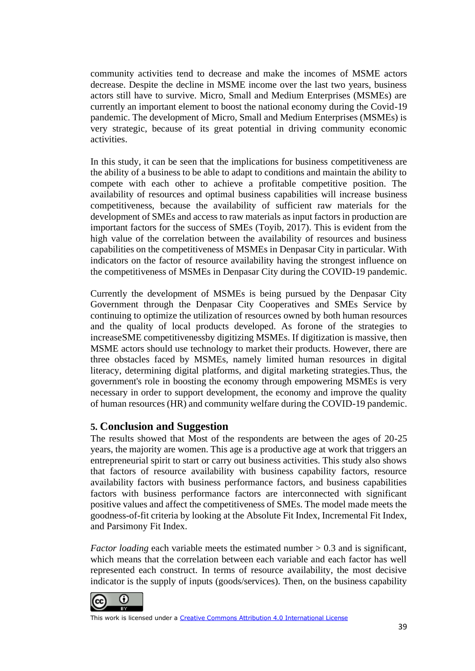community activities tend to decrease and make the incomes of MSME actors decrease. Despite the decline in MSME income over the last two years, business actors still have to survive. Micro, Small and Medium Enterprises (MSMEs) are currently an important element to boost the national economy during the Covid-19 pandemic. The development of Micro, Small and Medium Enterprises (MSMEs) is very strategic, because of its great potential in driving community economic activities.

In this study, it can be seen that the implications for business competitiveness are the ability of a business to be able to adapt to conditions and maintain the ability to compete with each other to achieve a profitable competitive position. The availability of resources and optimal business capabilities will increase business competitiveness, because the availability of sufficient raw materials for the development of SMEs and access to raw materials as input factors in production are important factors for the success of SMEs (Toyib, 2017). This is evident from the high value of the correlation between the availability of resources and business capabilities on the competitiveness of MSMEs in Denpasar City in particular. With indicators on the factor of resource availability having the strongest influence on the competitiveness of MSMEs in Denpasar City during the COVID-19 pandemic.

Currently the development of MSMEs is being pursued by the Denpasar City Government through the Denpasar City Cooperatives and SMEs Service by continuing to optimize the utilization of resources owned by both human resources and the quality of local products developed. As forone of the strategies to increas[eSME competitivenessb](https://www.tribunnews.com/tag/daya-saing-umkm)y digitizing MSMEs. If digitization is massive, then MSME actors should use technology to market their products. However, there are three obstacles faced by MSMEs, namely limited human resources in digital literacy, determining digital platforms, and digital marketing strategies.Thus, the government's role in boosting the economy through empowering MSMEs is very necessary in order to support development, the economy and improve the quality of human resources (HR) and community welfare during the COVID-19 pandemic.

## **5. Conclusion and Suggestion**

The results showed that Most of the respondents are between the ages of 20-25 years, the majority are women. This age is a productive age at work that triggers an entrepreneurial spirit to start or carry out business activities. This study also shows that factors of resource availability with business capability factors, resource availability factors with business performance factors, and business capabilities factors with business performance factors are interconnected with significant positive values and affect the competitiveness of SMEs. The model made meets the goodness-of-fit criteria by looking at the Absolute Fit Index, Incremental Fit Index, and Parsimony Fit Index.

*Factor loading* each variable meets the estimated number  $> 0.3$  and is significant, which means that the correlation between each variable and each factor has well represented each construct. In terms of resource availability, the most decisive indicator is the supply of inputs (goods/services). Then, on the business capability

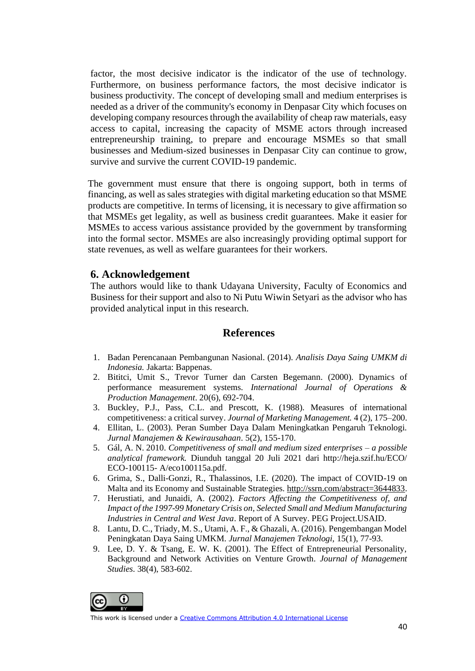factor, the most decisive indicator is the indicator of the use of technology. Furthermore, on business performance factors, the most decisive indicator is business productivity. The concept of developing small and medium enterprises is needed as a driver of the community's economy in Denpasar City which focuses on developing company resources through the availability of cheap raw materials, easy access to capital, increasing the capacity of MSME actors through increased entrepreneurship training, to prepare and encourage MSMEs so that small businesses and Medium-sized businesses in Denpasar City can continue to grow, survive and survive the current COVID-19 pandemic.

The government must ensure that there is ongoing support, both in terms of financing, as well as sales strategies with digital marketing education so that MSME products are competitive. In terms of licensing, it is necessary to give affirmation so that MSMEs get legality, as well as business credit guarantees. Make it easier for MSMEs to access various assistance provided by the government by transforming into the formal sector. MSMEs are also increasingly providing optimal support for state revenues, as well as welfare guarantees for their workers.

### **6. Acknowledgement**

The authors would like to thank Udayana University, Faculty of Economics and Business for their support and also to Ni Putu Wiwin Setyari as the advisor who has provided analytical input in this research.

### **References**

- 1. Badan Perencanaan Pembangunan Nasional. (2014). *Analisis Daya Saing UMKM di Indonesia.* Jakarta: Bappenas.
- 2. Bititci, Umit S., Trevor Turner dan Carsten Begemann. (2000). Dynamics of performance measurement systems. *International Journal of Operations & Production Management*. 20(6), 692-704.
- 3. Buckley, P.J., Pass, C.L. and Prescott, K. (1988). Measures of international competitiveness: a critical survey. *Journal of Marketing Management.* 4 (2), 175–200.
- 4. Ellitan, L. (2003). Peran Sumber Daya Dalam Meningkatkan Pengaruh Teknologi. *Jurnal Manajemen & Kewirausahaan*. 5(2), 155-170.
- 5. Gál, A. N. 2010. *Competitiveness of small and medium sized enterprises – a possible analytical framework.* Diunduh tanggal 20 Juli 2021 dari http://heja.szif.hu/ECO/ ECO-100115- A/eco100115a.pdf.
- 6. Grima, S., Dalli-Gonzi, R., Thalassinos, I.E. (2020). The impact of COVID-19 on Malta and its Economy and Sustainable Strategies. [http://ssrn.com/abstract=3644833.](http://ssrn.com/abstract=3644833)
- 7. Herustiati, and Junaidi, A. (2002). *Factors Affecting the Competitiveness of, and Impact of the 1997-99 Monetary Crisis on, Selected Small and Medium Manufacturing Industries in Central and West Java*. Report of A Survey. PEG Project.USAID.
- 8. Lantu, D. C., Triady, M. S., Utami, A. F., & Ghazali, A. (2016). Pengembangan Model Peningkatan Daya Saing UMKM. *Jurnal Manajemen Teknologi,* 15(1), 77-93.
- 9. Lee, D. Y. & Tsang, E. W. K. (2001). The Effect of Entrepreneurial Personality, Background and Network Activities on Venture Growth. *Journal of Management Studies*. 38(4), 583-602.